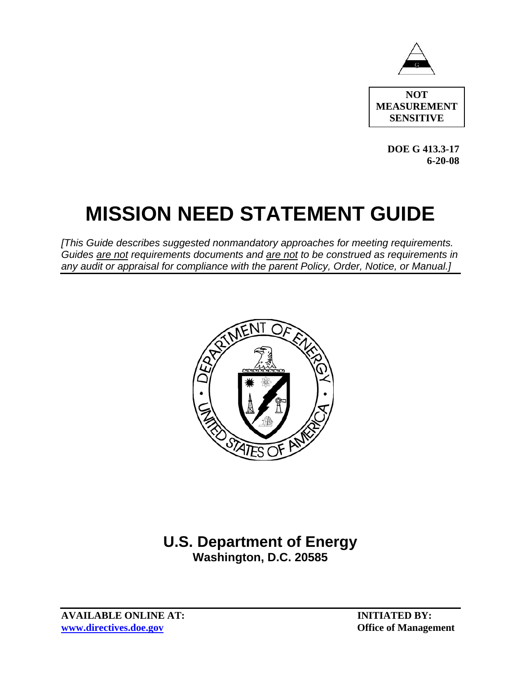

**NOT MEASUREMENT SENSITIVE** 

> **DOE G 413.3-17 6-20-08**

# **MISSION NEED STATEMENT GUIDE**

*[This Guide describes suggested nonmandatory approaches for meeting requirements. Guides are not requirements documents and are not to be construed as requirements in any audit or appraisal for compliance with the parent Policy, Order, Notice, or Manual.]*



# **U.S. Department of Energy Washington, D.C. 20585**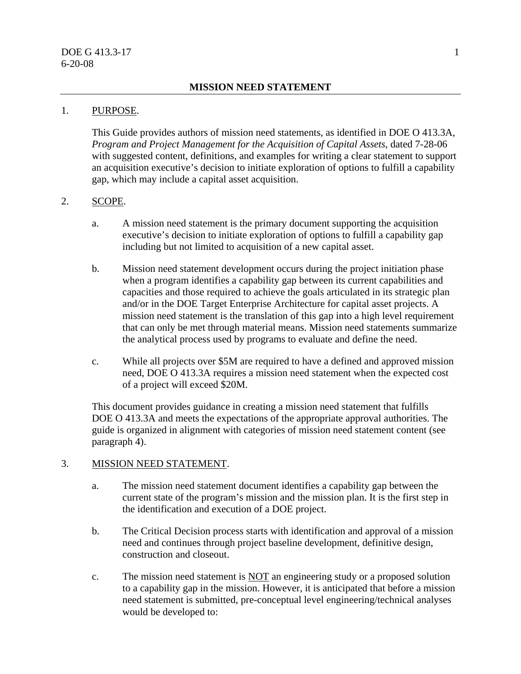#### 1. PURPOSE.

This Guide provides authors of mission need statements, as identified in DOE O 413.3A, *Program and Project Management for the Acquisition of Capital Assets*, dated 7-28-06 with suggested content, definitions, and examples for writing a clear statement to support an acquisition executive's decision to initiate exploration of options to fulfill a capability gap, which may include a capital asset acquisition.

#### 2. SCOPE.

- a. A mission need statement is the primary document supporting the acquisition executive's decision to initiate exploration of options to fulfill a capability gap including but not limited to acquisition of a new capital asset.
- b. Mission need statement development occurs during the project initiation phase when a program identifies a capability gap between its current capabilities and capacities and those required to achieve the goals articulated in its strategic plan and/or in the DOE Target Enterprise Architecture for capital asset projects. A mission need statement is the translation of this gap into a high level requirement that can only be met through material means. Mission need statements summarize the analytical process used by programs to evaluate and define the need.
- c. While all projects over \$5M are required to have a defined and approved mission need, DOE O 413.3A requires a mission need statement when the expected cost of a project will exceed \$20M.

This document provides guidance in creating a mission need statement that fulfills DOE O 413.3A and meets the expectations of the appropriate approval authorities. The guide is organized in alignment with categories of mission need statement content (see paragraph 4).

#### 3. MISSION NEED STATEMENT.

- a. The mission need statement document identifies a capability gap between the current state of the program's mission and the mission plan. It is the first step in the identification and execution of a DOE project.
- b. The Critical Decision process starts with identification and approval of a mission need and continues through project baseline development, definitive design, construction and closeout.
- c. The mission need statement is NOT an engineering study or a proposed solution to a capability gap in the mission. However, it is anticipated that before a mission need statement is submitted, pre-conceptual level engineering/technical analyses would be developed to: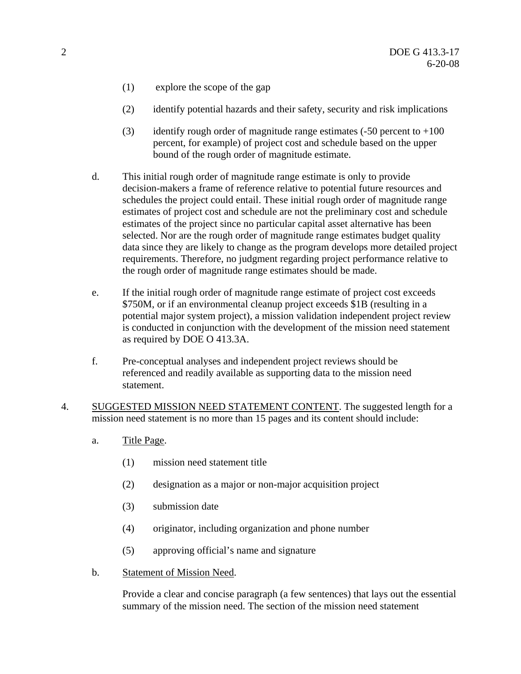- (1) explore the scope of the gap
- (2) identify potential hazards and their safety, security and risk implications
- (3) identify rough order of magnitude range estimates  $(-50$  percent to  $+100$ percent, for example) of project cost and schedule based on the upper bound of the rough order of magnitude estimate.
- d. This initial rough order of magnitude range estimate is only to provide decision-makers a frame of reference relative to potential future resources and schedules the project could entail. These initial rough order of magnitude range estimates of project cost and schedule are not the preliminary cost and schedule estimates of the project since no particular capital asset alternative has been selected. Nor are the rough order of magnitude range estimates budget quality data since they are likely to change as the program develops more detailed project requirements. Therefore, no judgment regarding project performance relative to the rough order of magnitude range estimates should be made.
- e. If the initial rough order of magnitude range estimate of project cost exceeds \$750M, or if an environmental cleanup project exceeds \$1B (resulting in a potential major system project), a mission validation independent project review is conducted in conjunction with the development of the mission need statement as required by DOE O 413.3A.
- f. Pre-conceptual analyses and independent project reviews should be referenced and readily available as supporting data to the mission need statement.
- 4. SUGGESTED MISSION NEED STATEMENT CONTENT. The suggested length for a mission need statement is no more than 15 pages and its content should include:
	- a. Title Page.
		- (1) mission need statement title
		- (2) designation as a major or non-major acquisition project
		- (3) submission date
		- (4) originator, including organization and phone number
		- (5) approving official's name and signature
	- b. Statement of Mission Need.

Provide a clear and concise paragraph (a few sentences) that lays out the essential summary of the mission need. The section of the mission need statement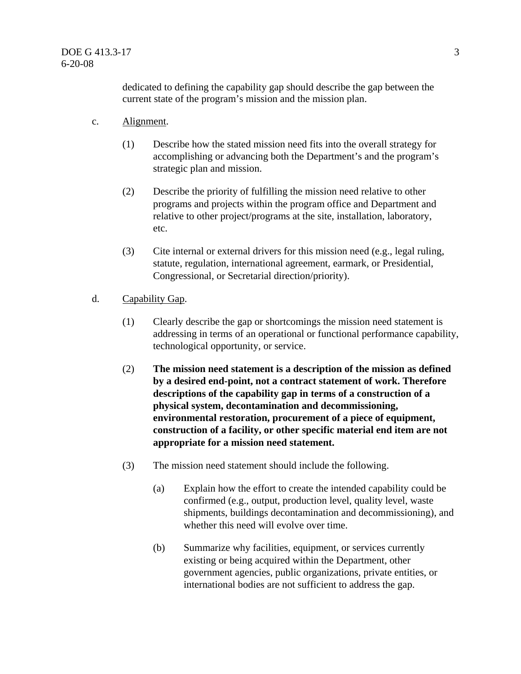dedicated to defining the capability gap should describe the gap between the current state of the program's mission and the mission plan.

- c. Alignment.
	- (1) Describe how the stated mission need fits into the overall strategy for accomplishing or advancing both the Department's and the program's strategic plan and mission.
	- (2) Describe the priority of fulfilling the mission need relative to other programs and projects within the program office and Department and relative to other project/programs at the site, installation, laboratory, etc.
	- (3) Cite internal or external drivers for this mission need (e.g., legal ruling, statute, regulation, international agreement, earmark, or Presidential, Congressional, or Secretarial direction/priority).
- d. Capability Gap.
	- (1) Clearly describe the gap or shortcomings the mission need statement is addressing in terms of an operational or functional performance capability, technological opportunity, or service.
	- (2) **The mission need statement is a description of the mission as defined by a desired end-point, not a contract statement of work. Therefore descriptions of the capability gap in terms of a construction of a physical system, decontamination and decommissioning, environmental restoration, procurement of a piece of equipment, construction of a facility, or other specific material end item are not appropriate for a mission need statement.**
	- (3) The mission need statement should include the following.
		- (a) Explain how the effort to create the intended capability could be confirmed (e.g., output, production level, quality level, waste shipments, buildings decontamination and decommissioning), and whether this need will evolve over time.
		- (b) Summarize why facilities, equipment, or services currently existing or being acquired within the Department, other government agencies, public organizations, private entities, or international bodies are not sufficient to address the gap.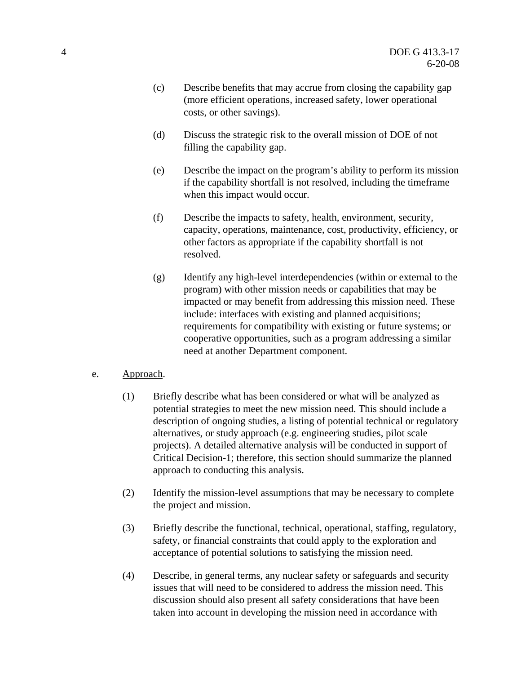- (c) Describe benefits that may accrue from closing the capability gap (more efficient operations, increased safety, lower operational costs, or other savings).
- (d) Discuss the strategic risk to the overall mission of DOE of not filling the capability gap.
- (e) Describe the impact on the program's ability to perform its mission if the capability shortfall is not resolved, including the timeframe when this impact would occur.
- (f) Describe the impacts to safety, health, environment, security, capacity, operations, maintenance, cost, productivity, efficiency, or other factors as appropriate if the capability shortfall is not resolved.
- (g) Identify any high-level interdependencies (within or external to the program) with other mission needs or capabilities that may be impacted or may benefit from addressing this mission need. These include: interfaces with existing and planned acquisitions; requirements for compatibility with existing or future systems; or cooperative opportunities, such as a program addressing a similar need at another Department component.
- e. Approach.
	- (1) Briefly describe what has been considered or what will be analyzed as potential strategies to meet the new mission need. This should include a description of ongoing studies, a listing of potential technical or regulatory alternatives, or study approach (e.g. engineering studies, pilot scale projects). A detailed alternative analysis will be conducted in support of Critical Decision-1; therefore, this section should summarize the planned approach to conducting this analysis.
	- (2) Identify the mission-level assumptions that may be necessary to complete the project and mission.
	- (3) Briefly describe the functional, technical, operational, staffing, regulatory, safety, or financial constraints that could apply to the exploration and acceptance of potential solutions to satisfying the mission need.
	- (4) Describe, in general terms, any nuclear safety or safeguards and security issues that will need to be considered to address the mission need. This discussion should also present all safety considerations that have been taken into account in developing the mission need in accordance with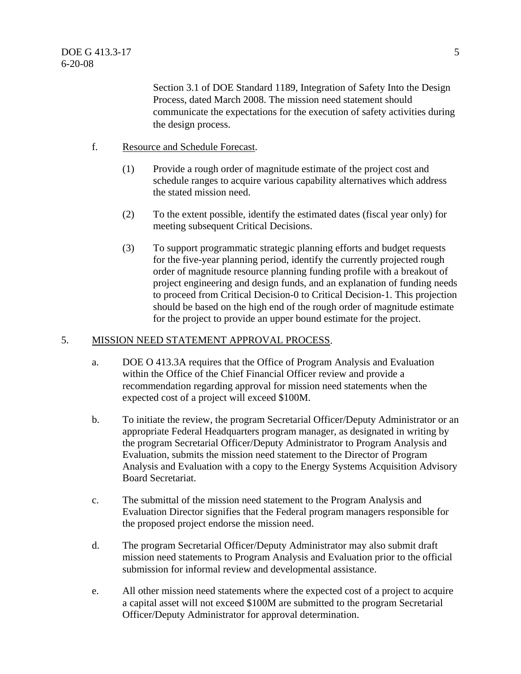Section 3.1 of DOE Standard 1189, Integration of Safety Into the Design Process, dated March 2008. The mission need statement should communicate the expectations for the execution of safety activities during the design process.

# f. Resource and Schedule Forecast.

- (1) Provide a rough order of magnitude estimate of the project cost and schedule ranges to acquire various capability alternatives which address the stated mission need.
- (2) To the extent possible, identify the estimated dates (fiscal year only) for meeting subsequent Critical Decisions.
- (3) To support programmatic strategic planning efforts and budget requests for the five-year planning period, identify the currently projected rough order of magnitude resource planning funding profile with a breakout of project engineering and design funds, and an explanation of funding needs to proceed from Critical Decision-0 to Critical Decision-1. This projection should be based on the high end of the rough order of magnitude estimate for the project to provide an upper bound estimate for the project.

#### 5. MISSION NEED STATEMENT APPROVAL PROCESS.

- a. DOE O 413.3A requires that the Office of Program Analysis and Evaluation within the Office of the Chief Financial Officer review and provide a recommendation regarding approval for mission need statements when the expected cost of a project will exceed \$100M.
- b. To initiate the review, the program Secretarial Officer/Deputy Administrator or an appropriate Federal Headquarters program manager, as designated in writing by the program Secretarial Officer/Deputy Administrator to Program Analysis and Evaluation, submits the mission need statement to the Director of Program Analysis and Evaluation with a copy to the Energy Systems Acquisition Advisory Board Secretariat.
- c. The submittal of the mission need statement to the Program Analysis and Evaluation Director signifies that the Federal program managers responsible for the proposed project endorse the mission need.
- d. The program Secretarial Officer/Deputy Administrator may also submit draft mission need statements to Program Analysis and Evaluation prior to the official submission for informal review and developmental assistance.
- e. All other mission need statements where the expected cost of a project to acquire a capital asset will not exceed \$100M are submitted to the program Secretarial Officer/Deputy Administrator for approval determination.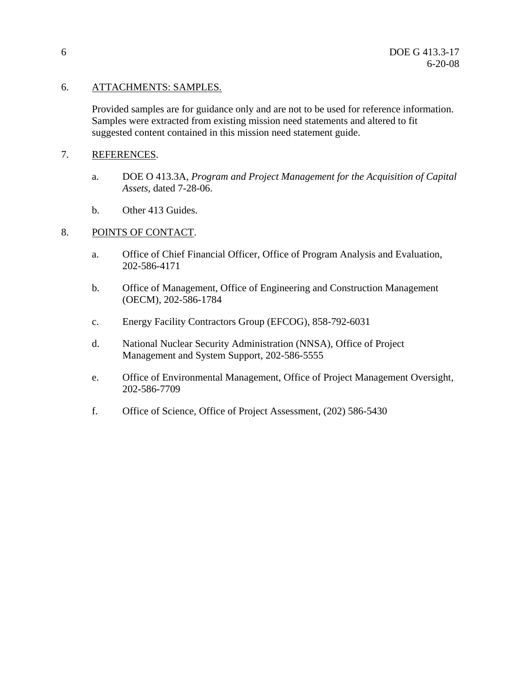# 6. ATTACHMENTS: SAMPLES.

Provided samples are for guidance only and are not to be used for reference information. Samples were extracted from existing mission need statements and altered to fit suggested content contained in this mission need statement guide.

## 7. REFERENCES.

- a. DOE O 413.3A, *Program and Project Management for the Acquisition of Capital Assets*, dated 7-28-06.
- b. Other 413 Guides.

# 8. POINTS OF CONTACT.

- a. Office of Chief Financial Officer, Office of Program Analysis and Evaluation, 202-586-4171
- b. Office of Management, Office of Engineering and Construction Management (OECM), 202-586-1784
- c. Energy Facility Contractors Group (EFCOG), 858-792-6031
- d. National Nuclear Security Administration (NNSA), Office of Project Management and System Support, 202-586-5555
- e. Office of Environmental Management, Office of Project Management Oversight, 202-586-7709
- f. Office of Science, Office of Project Assessment, (202) 586-5430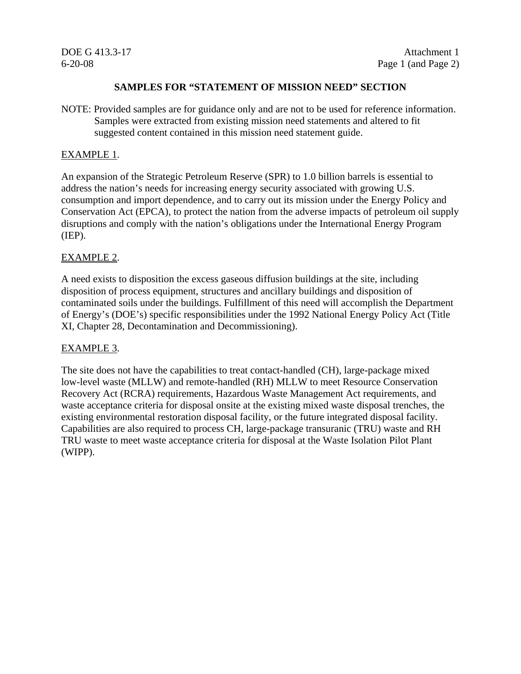## **SAMPLES FOR "STATEMENT OF MISSION NEED" SECTION**

NOTE: Provided samples are for guidance only and are not to be used for reference information. Samples were extracted from existing mission need statements and altered to fit suggested content contained in this mission need statement guide.

## EXAMPLE 1.

An expansion of the Strategic Petroleum Reserve (SPR) to 1.0 billion barrels is essential to address the nation's needs for increasing energy security associated with growing U.S. consumption and import dependence, and to carry out its mission under the Energy Policy and Conservation Act (EPCA), to protect the nation from the adverse impacts of petroleum oil supply disruptions and comply with the nation's obligations under the International Energy Program (IEP).

# EXAMPLE 2.

A need exists to disposition the excess gaseous diffusion buildings at the site, including disposition of process equipment, structures and ancillary buildings and disposition of contaminated soils under the buildings. Fulfillment of this need will accomplish the Department of Energy's (DOE's) specific responsibilities under the 1992 National Energy Policy Act (Title XI, Chapter 28, Decontamination and Decommissioning).

#### EXAMPLE 3.

The site does not have the capabilities to treat contact-handled (CH), large-package mixed low-level waste (MLLW) and remote-handled (RH) MLLW to meet Resource Conservation Recovery Act (RCRA) requirements, Hazardous Waste Management Act requirements, and waste acceptance criteria for disposal onsite at the existing mixed waste disposal trenches, the existing environmental restoration disposal facility, or the future integrated disposal facility. Capabilities are also required to process CH, large-package transuranic (TRU) waste and RH TRU waste to meet waste acceptance criteria for disposal at the Waste Isolation Pilot Plant (WIPP).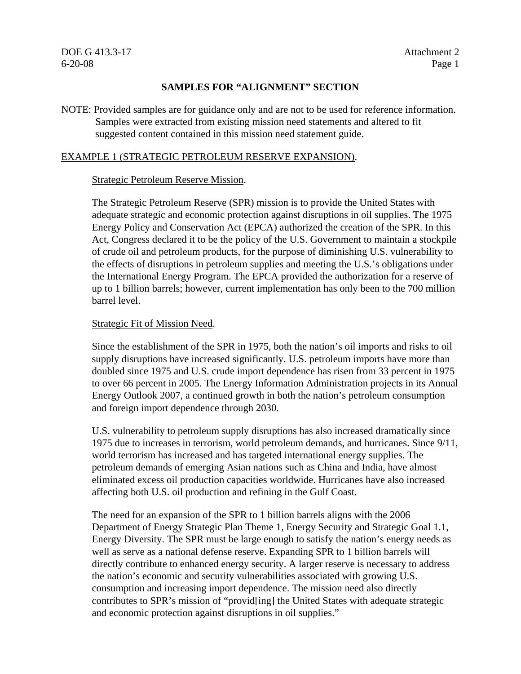## **SAMPLES FOR "ALIGNMENT" SECTION**

NOTE: Provided samples are for guidance only and are not to be used for reference information. Samples were extracted from existing mission need statements and altered to fit suggested content contained in this mission need statement guide.

## EXAMPLE 1 (STRATEGIC PETROLEUM RESERVE EXPANSION).

# Strategic Petroleum Reserve Mission.

The Strategic Petroleum Reserve (SPR) mission is to provide the United States with adequate strategic and economic protection against disruptions in oil supplies. The 1975 Energy Policy and Conservation Act (EPCA) authorized the creation of the SPR. In this Act, Congress declared it to be the policy of the U.S. Government to maintain a stockpile of crude oil and petroleum products, for the purpose of diminishing U.S. vulnerability to the effects of disruptions in petroleum supplies and meeting the U.S.'s obligations under the International Energy Program. The EPCA provided the authorization for a reserve of up to 1 billion barrels; however, current implementation has only been to the 700 million barrel level.

# Strategic Fit of Mission Need.

Since the establishment of the SPR in 1975, both the nation's oil imports and risks to oil supply disruptions have increased significantly. U.S. petroleum imports have more than doubled since 1975 and U.S. crude import dependence has risen from 33 percent in 1975 to over 66 percent in 2005. The Energy Information Administration projects in its Annual Energy Outlook 2007, a continued growth in both the nation's petroleum consumption and foreign import dependence through 2030.

U.S. vulnerability to petroleum supply disruptions has also increased dramatically since 1975 due to increases in terrorism, world petroleum demands, and hurricanes. Since 9/11, world terrorism has increased and has targeted international energy supplies. The petroleum demands of emerging Asian nations such as China and India, have almost eliminated excess oil production capacities worldwide. Hurricanes have also increased affecting both U.S. oil production and refining in the Gulf Coast.

The need for an expansion of the SPR to 1 billion barrels aligns with the 2006 Department of Energy Strategic Plan Theme 1, Energy Security and Strategic Goal 1.1, Energy Diversity. The SPR must be large enough to satisfy the nation's energy needs as well as serve as a national defense reserve. Expanding SPR to 1 billion barrels will directly contribute to enhanced energy security. A larger reserve is necessary to address the nation's economic and security vulnerabilities associated with growing U.S. consumption and increasing import dependence. The mission need also directly contributes to SPR's mission of "provid[ing] the United States with adequate strategic and economic protection against disruptions in oil supplies."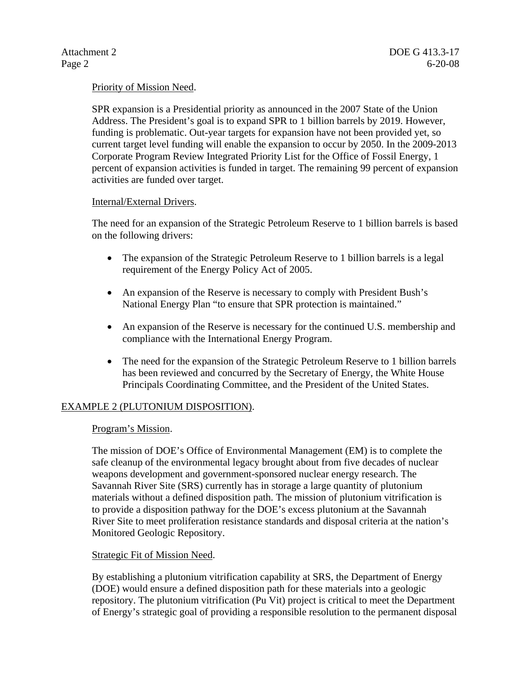# Priority of Mission Need.

SPR expansion is a Presidential priority as announced in the 2007 State of the Union Address. The President's goal is to expand SPR to 1 billion barrels by 2019. However, funding is problematic. Out-year targets for expansion have not been provided yet, so current target level funding will enable the expansion to occur by 2050. In the 2009-2013 Corporate Program Review Integrated Priority List for the Office of Fossil Energy, 1 percent of expansion activities is funded in target. The remaining 99 percent of expansion activities are funded over target.

#### Internal/External Drivers.

The need for an expansion of the Strategic Petroleum Reserve to 1 billion barrels is based on the following drivers:

- The expansion of the Strategic Petroleum Reserve to 1 billion barrels is a legal requirement of the Energy Policy Act of 2005.
- An expansion of the Reserve is necessary to comply with President Bush's National Energy Plan "to ensure that SPR protection is maintained."
- An expansion of the Reserve is necessary for the continued U.S. membership and compliance with the International Energy Program.
- The need for the expansion of the Strategic Petroleum Reserve to 1 billion barrels has been reviewed and concurred by the Secretary of Energy, the White House Principals Coordinating Committee, and the President of the United States.

#### EXAMPLE 2 (PLUTONIUM DISPOSITION).

#### Program's Mission.

The mission of DOE's Office of Environmental Management (EM) is to complete the safe cleanup of the environmental legacy brought about from five decades of nuclear weapons development and government-sponsored nuclear energy research. The Savannah River Site (SRS) currently has in storage a large quantity of plutonium materials without a defined disposition path. The mission of plutonium vitrification is to provide a disposition pathway for the DOE's excess plutonium at the Savannah River Site to meet proliferation resistance standards and disposal criteria at the nation's Monitored Geologic Repository.

#### Strategic Fit of Mission Need.

By establishing a plutonium vitrification capability at SRS, the Department of Energy (DOE) would ensure a defined disposition path for these materials into a geologic repository. The plutonium vitrification (Pu Vit) project is critical to meet the Department of Energy's strategic goal of providing a responsible resolution to the permanent disposal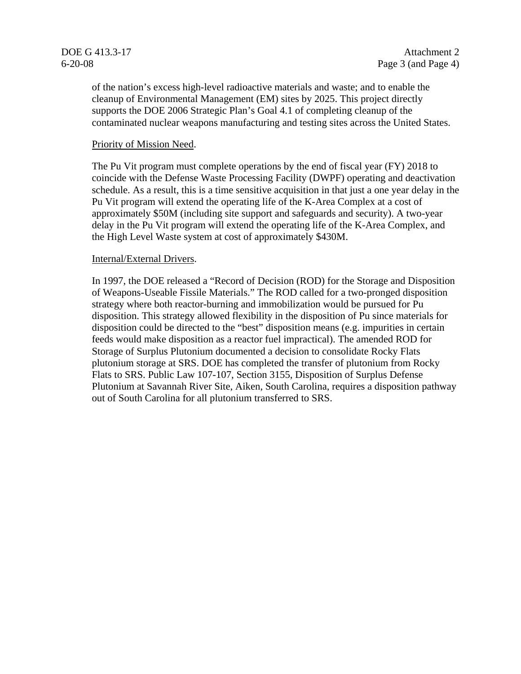of the nation's excess high-level radioactive materials and waste; and to enable the cleanup of Environmental Management (EM) sites by 2025. This project directly supports the DOE 2006 Strategic Plan's Goal 4.1 of completing cleanup of the contaminated nuclear weapons manufacturing and testing sites across the United States.

#### Priority of Mission Need.

The Pu Vit program must complete operations by the end of fiscal year (FY) 2018 to coincide with the Defense Waste Processing Facility (DWPF) operating and deactivation schedule. As a result, this is a time sensitive acquisition in that just a one year delay in the Pu Vit program will extend the operating life of the K-Area Complex at a cost of approximately \$50M (including site support and safeguards and security). A two-year delay in the Pu Vit program will extend the operating life of the K-Area Complex, and the High Level Waste system at cost of approximately \$430M.

#### Internal/External Drivers.

In 1997, the DOE released a "Record of Decision (ROD) for the Storage and Disposition of Weapons-Useable Fissile Materials." The ROD called for a two-pronged disposition strategy where both reactor-burning and immobilization would be pursued for Pu disposition. This strategy allowed flexibility in the disposition of Pu since materials for disposition could be directed to the "best" disposition means (e.g. impurities in certain feeds would make disposition as a reactor fuel impractical). The amended ROD for Storage of Surplus Plutonium documented a decision to consolidate Rocky Flats plutonium storage at SRS. DOE has completed the transfer of plutonium from Rocky Flats to SRS. Public Law 107-107, Section 3155, Disposition of Surplus Defense Plutonium at Savannah River Site, Aiken, South Carolina, requires a disposition pathway out of South Carolina for all plutonium transferred to SRS.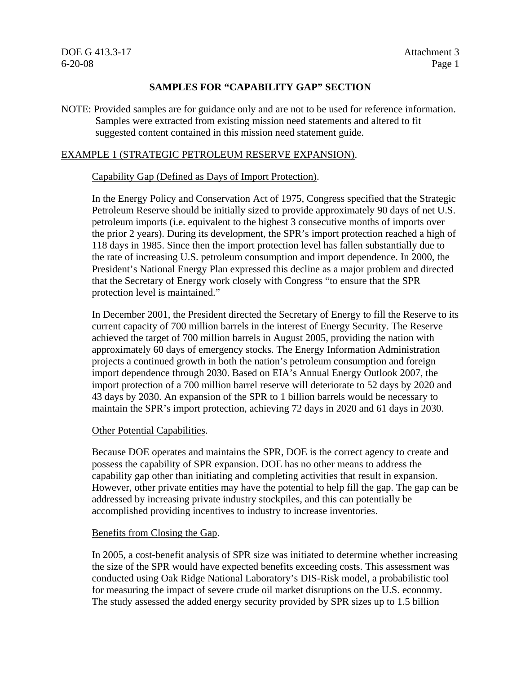# **SAMPLES FOR "CAPABILITY GAP" SECTION**

NOTE: Provided samples are for guidance only and are not to be used for reference information. Samples were extracted from existing mission need statements and altered to fit suggested content contained in this mission need statement guide.

#### EXAMPLE 1 (STRATEGIC PETROLEUM RESERVE EXPANSION).

#### Capability Gap (Defined as Days of Import Protection).

In the Energy Policy and Conservation Act of 1975, Congress specified that the Strategic Petroleum Reserve should be initially sized to provide approximately 90 days of net U.S. petroleum imports (i.e. equivalent to the highest 3 consecutive months of imports over the prior 2 years). During its development, the SPR's import protection reached a high of 118 days in 1985. Since then the import protection level has fallen substantially due to the rate of increasing U.S. petroleum consumption and import dependence. In 2000, the President's National Energy Plan expressed this decline as a major problem and directed that the Secretary of Energy work closely with Congress "to ensure that the SPR protection level is maintained."

In December 2001, the President directed the Secretary of Energy to fill the Reserve to its current capacity of 700 million barrels in the interest of Energy Security. The Reserve achieved the target of 700 million barrels in August 2005, providing the nation with approximately 60 days of emergency stocks. The Energy Information Administration projects a continued growth in both the nation's petroleum consumption and foreign import dependence through 2030. Based on EIA's Annual Energy Outlook 2007, the import protection of a 700 million barrel reserve will deteriorate to 52 days by 2020 and 43 days by 2030. An expansion of the SPR to 1 billion barrels would be necessary to maintain the SPR's import protection, achieving 72 days in 2020 and 61 days in 2030.

#### Other Potential Capabilities.

Because DOE operates and maintains the SPR, DOE is the correct agency to create and possess the capability of SPR expansion. DOE has no other means to address the capability gap other than initiating and completing activities that result in expansion. However, other private entities may have the potential to help fill the gap. The gap can be addressed by increasing private industry stockpiles, and this can potentially be accomplished providing incentives to industry to increase inventories.

#### Benefits from Closing the Gap.

In 2005, a cost-benefit analysis of SPR size was initiated to determine whether increasing the size of the SPR would have expected benefits exceeding costs. This assessment was conducted using Oak Ridge National Laboratory's DIS-Risk model, a probabilistic tool for measuring the impact of severe crude oil market disruptions on the U.S. economy. The study assessed the added energy security provided by SPR sizes up to 1.5 billion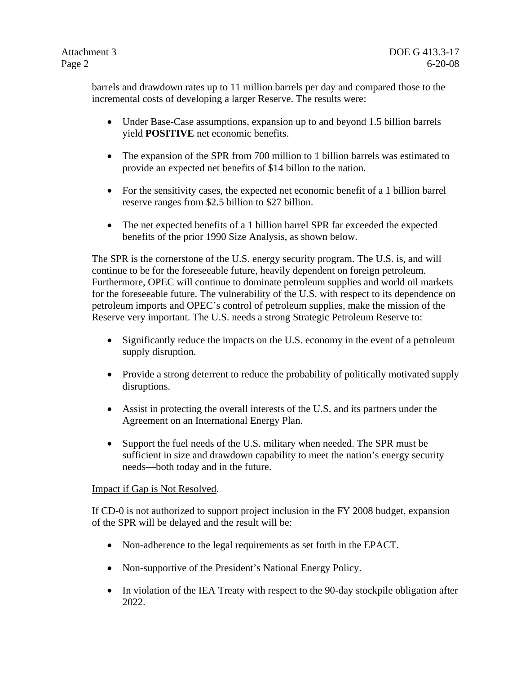barrels and drawdown rates up to 11 million barrels per day and compared those to the incremental costs of developing a larger Reserve. The results were:

- Under Base-Case assumptions, expansion up to and beyond 1.5 billion barrels yield **POSITIVE** net economic benefits.
- The expansion of the SPR from 700 million to 1 billion barrels was estimated to provide an expected net benefits of \$14 billon to the nation.
- For the sensitivity cases, the expected net economic benefit of a 1 billion barrel reserve ranges from \$2.5 billion to \$27 billion.
- The net expected benefits of a 1 billion barrel SPR far exceeded the expected benefits of the prior 1990 Size Analysis, as shown below.

The SPR is the cornerstone of the U.S. energy security program. The U.S. is, and will continue to be for the foreseeable future, heavily dependent on foreign petroleum. Furthermore, OPEC will continue to dominate petroleum supplies and world oil markets for the foreseeable future. The vulnerability of the U.S. with respect to its dependence on petroleum imports and OPEC's control of petroleum supplies, make the mission of the Reserve very important. The U.S. needs a strong Strategic Petroleum Reserve to:

- Significantly reduce the impacts on the U.S. economy in the event of a petroleum supply disruption.
- Provide a strong deterrent to reduce the probability of politically motivated supply disruptions.
- Assist in protecting the overall interests of the U.S. and its partners under the Agreement on an International Energy Plan.
- Support the fuel needs of the U.S. military when needed. The SPR must be sufficient in size and drawdown capability to meet the nation's energy security needs—both today and in the future.

# Impact if Gap is Not Resolved.

If CD-0 is not authorized to support project inclusion in the FY 2008 budget, expansion of the SPR will be delayed and the result will be:

- Non-adherence to the legal requirements as set forth in the EPACT.
- Non-supportive of the President's National Energy Policy.
- In violation of the IEA Treaty with respect to the 90-day stockpile obligation after 2022.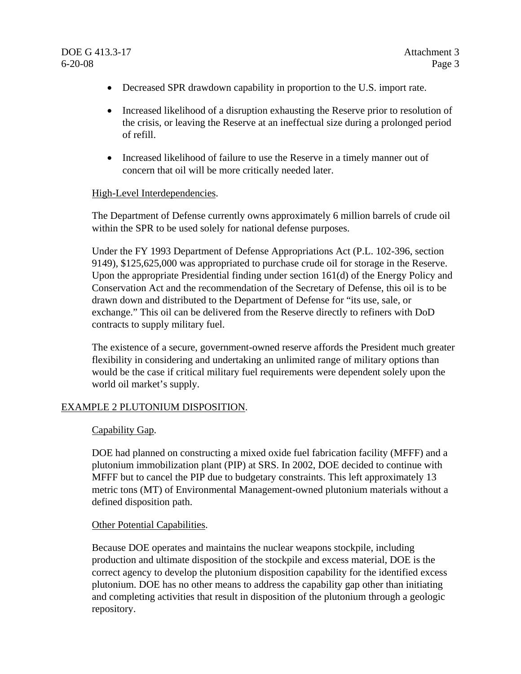- Decreased SPR drawdown capability in proportion to the U.S. import rate.
- Increased likelihood of a disruption exhausting the Reserve prior to resolution of the crisis, or leaving the Reserve at an ineffectual size during a prolonged period of refill.
- Increased likelihood of failure to use the Reserve in a timely manner out of concern that oil will be more critically needed later.

#### High-Level Interdependencies.

The Department of Defense currently owns approximately 6 million barrels of crude oil within the SPR to be used solely for national defense purposes.

Under the FY 1993 Department of Defense Appropriations Act (P.L. 102-396, section 9149), \$125,625,000 was appropriated to purchase crude oil for storage in the Reserve. Upon the appropriate Presidential finding under section 161(d) of the Energy Policy and Conservation Act and the recommendation of the Secretary of Defense, this oil is to be drawn down and distributed to the Department of Defense for "its use, sale, or exchange." This oil can be delivered from the Reserve directly to refiners with DoD contracts to supply military fuel.

The existence of a secure, government-owned reserve affords the President much greater flexibility in considering and undertaking an unlimited range of military options than would be the case if critical military fuel requirements were dependent solely upon the world oil market's supply.

#### EXAMPLE 2 PLUTONIUM DISPOSITION.

#### Capability Gap.

DOE had planned on constructing a mixed oxide fuel fabrication facility (MFFF) and a plutonium immobilization plant (PIP) at SRS. In 2002, DOE decided to continue with MFFF but to cancel the PIP due to budgetary constraints. This left approximately 13 metric tons (MT) of Environmental Management-owned plutonium materials without a defined disposition path.

#### Other Potential Capabilities.

Because DOE operates and maintains the nuclear weapons stockpile, including production and ultimate disposition of the stockpile and excess material, DOE is the correct agency to develop the plutonium disposition capability for the identified excess plutonium. DOE has no other means to address the capability gap other than initiating and completing activities that result in disposition of the plutonium through a geologic repository.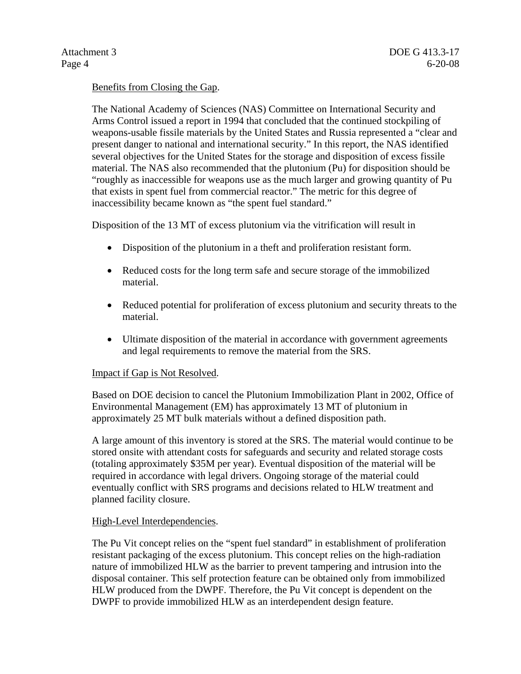# Benefits from Closing the Gap.

The National Academy of Sciences (NAS) Committee on International Security and Arms Control issued a report in 1994 that concluded that the continued stockpiling of weapons-usable fissile materials by the United States and Russia represented a "clear and present danger to national and international security." In this report, the NAS identified several objectives for the United States for the storage and disposition of excess fissile material. The NAS also recommended that the plutonium (Pu) for disposition should be "roughly as inaccessible for weapons use as the much larger and growing quantity of Pu that exists in spent fuel from commercial reactor." The metric for this degree of inaccessibility became known as "the spent fuel standard."

Disposition of the 13 MT of excess plutonium via the vitrification will result in

- Disposition of the plutonium in a theft and proliferation resistant form.
- Reduced costs for the long term safe and secure storage of the immobilized material.
- Reduced potential for proliferation of excess plutonium and security threats to the material.
- Ultimate disposition of the material in accordance with government agreements and legal requirements to remove the material from the SRS.

#### Impact if Gap is Not Resolved.

Based on DOE decision to cancel the Plutonium Immobilization Plant in 2002, Office of Environmental Management (EM) has approximately 13 MT of plutonium in approximately 25 MT bulk materials without a defined disposition path.

A large amount of this inventory is stored at the SRS. The material would continue to be stored onsite with attendant costs for safeguards and security and related storage costs (totaling approximately \$35M per year). Eventual disposition of the material will be required in accordance with legal drivers. Ongoing storage of the material could eventually conflict with SRS programs and decisions related to HLW treatment and planned facility closure.

#### High-Level Interdependencies.

The Pu Vit concept relies on the "spent fuel standard" in establishment of proliferation resistant packaging of the excess plutonium. This concept relies on the high-radiation nature of immobilized HLW as the barrier to prevent tampering and intrusion into the disposal container. This self protection feature can be obtained only from immobilized HLW produced from the DWPF. Therefore, the Pu Vit concept is dependent on the DWPF to provide immobilized HLW as an interdependent design feature.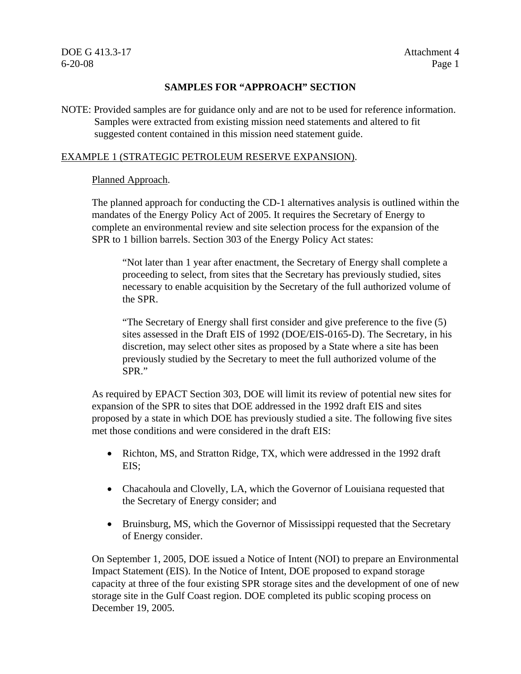# **SAMPLES FOR "APPROACH" SECTION**

NOTE: Provided samples are for guidance only and are not to be used for reference information. Samples were extracted from existing mission need statements and altered to fit suggested content contained in this mission need statement guide.

# EXAMPLE 1 (STRATEGIC PETROLEUM RESERVE EXPANSION).

# Planned Approach.

The planned approach for conducting the CD-1 alternatives analysis is outlined within the mandates of the Energy Policy Act of 2005. It requires the Secretary of Energy to complete an environmental review and site selection process for the expansion of the SPR to 1 billion barrels. Section 303 of the Energy Policy Act states:

"Not later than 1 year after enactment, the Secretary of Energy shall complete a proceeding to select, from sites that the Secretary has previously studied, sites necessary to enable acquisition by the Secretary of the full authorized volume of the SPR.

"The Secretary of Energy shall first consider and give preference to the five (5) sites assessed in the Draft EIS of 1992 (DOE/EIS-0165-D). The Secretary, in his discretion, may select other sites as proposed by a State where a site has been previously studied by the Secretary to meet the full authorized volume of the SPR."

As required by EPACT Section 303, DOE will limit its review of potential new sites for expansion of the SPR to sites that DOE addressed in the 1992 draft EIS and sites proposed by a state in which DOE has previously studied a site. The following five sites met those conditions and were considered in the draft EIS:

- Richton, MS, and Stratton Ridge, TX, which were addressed in the 1992 draft EIS;
- Chacahoula and Clovelly, LA, which the Governor of Louisiana requested that the Secretary of Energy consider; and
- Bruinsburg, MS, which the Governor of Mississippi requested that the Secretary of Energy consider.

On September 1, 2005, DOE issued a Notice of Intent (NOI) to prepare an Environmental Impact Statement (EIS). In the Notice of Intent, DOE proposed to expand storage capacity at three of the four existing SPR storage sites and the development of one of new storage site in the Gulf Coast region. DOE completed its public scoping process on December 19, 2005.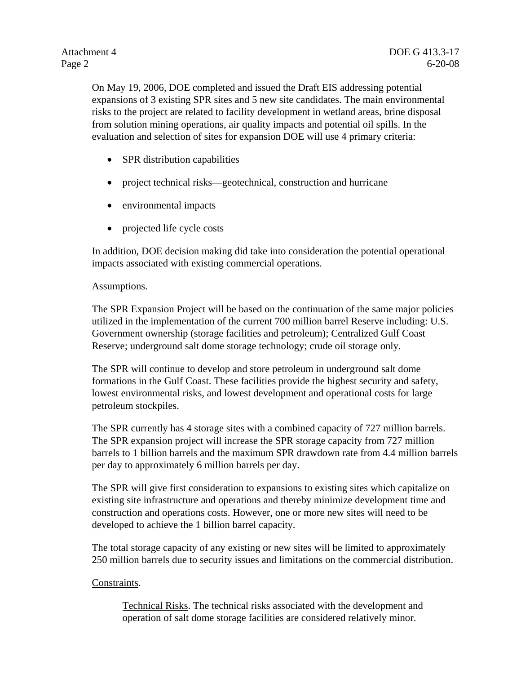On May 19, 2006, DOE completed and issued the Draft EIS addressing potential expansions of 3 existing SPR sites and 5 new site candidates. The main environmental risks to the project are related to facility development in wetland areas, brine disposal from solution mining operations, air quality impacts and potential oil spills. In the evaluation and selection of sites for expansion DOE will use 4 primary criteria:

- SPR distribution capabilities
- project technical risks—geotechnical, construction and hurricane
- environmental impacts
- projected life cycle costs

In addition, DOE decision making did take into consideration the potential operational impacts associated with existing commercial operations.

#### Assumptions.

The SPR Expansion Project will be based on the continuation of the same major policies utilized in the implementation of the current 700 million barrel Reserve including: U.S. Government ownership (storage facilities and petroleum); Centralized Gulf Coast Reserve; underground salt dome storage technology; crude oil storage only.

The SPR will continue to develop and store petroleum in underground salt dome formations in the Gulf Coast. These facilities provide the highest security and safety, lowest environmental risks, and lowest development and operational costs for large petroleum stockpiles.

The SPR currently has 4 storage sites with a combined capacity of 727 million barrels. The SPR expansion project will increase the SPR storage capacity from 727 million barrels to 1 billion barrels and the maximum SPR drawdown rate from 4.4 million barrels per day to approximately 6 million barrels per day.

The SPR will give first consideration to expansions to existing sites which capitalize on existing site infrastructure and operations and thereby minimize development time and construction and operations costs. However, one or more new sites will need to be developed to achieve the 1 billion barrel capacity.

The total storage capacity of any existing or new sites will be limited to approximately 250 million barrels due to security issues and limitations on the commercial distribution.

# Constraints.

Technical Risks. The technical risks associated with the development and operation of salt dome storage facilities are considered relatively minor.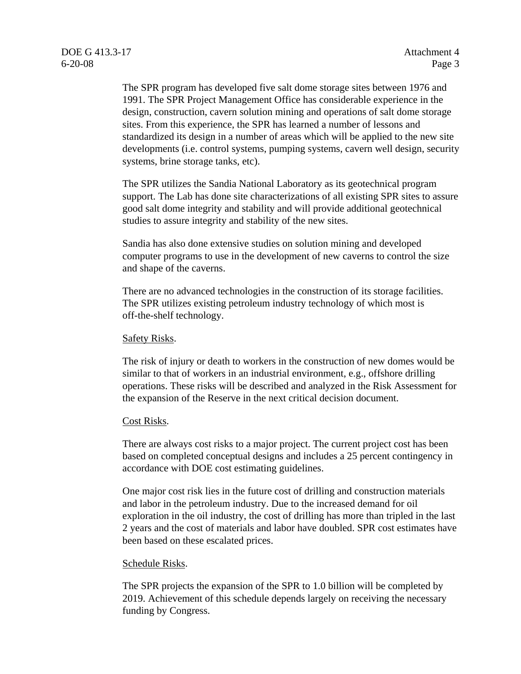The SPR program has developed five salt dome storage sites between 1976 and 1991. The SPR Project Management Office has considerable experience in the design, construction, cavern solution mining and operations of salt dome storage sites. From this experience, the SPR has learned a number of lessons and standardized its design in a number of areas which will be applied to the new site developments (i.e. control systems, pumping systems, cavern well design, security systems, brine storage tanks, etc).

The SPR utilizes the Sandia National Laboratory as its geotechnical program support. The Lab has done site characterizations of all existing SPR sites to assure good salt dome integrity and stability and will provide additional geotechnical studies to assure integrity and stability of the new sites.

Sandia has also done extensive studies on solution mining and developed computer programs to use in the development of new caverns to control the size and shape of the caverns.

There are no advanced technologies in the construction of its storage facilities. The SPR utilizes existing petroleum industry technology of which most is off-the-shelf technology.

#### Safety Risks.

The risk of injury or death to workers in the construction of new domes would be similar to that of workers in an industrial environment, e.g., offshore drilling operations. These risks will be described and analyzed in the Risk Assessment for the expansion of the Reserve in the next critical decision document.

# Cost Risks.

There are always cost risks to a major project. The current project cost has been based on completed conceptual designs and includes a 25 percent contingency in accordance with DOE cost estimating guidelines.

One major cost risk lies in the future cost of drilling and construction materials and labor in the petroleum industry. Due to the increased demand for oil exploration in the oil industry, the cost of drilling has more than tripled in the last 2 years and the cost of materials and labor have doubled. SPR cost estimates have been based on these escalated prices.

#### Schedule Risks.

The SPR projects the expansion of the SPR to 1.0 billion will be completed by 2019. Achievement of this schedule depends largely on receiving the necessary funding by Congress.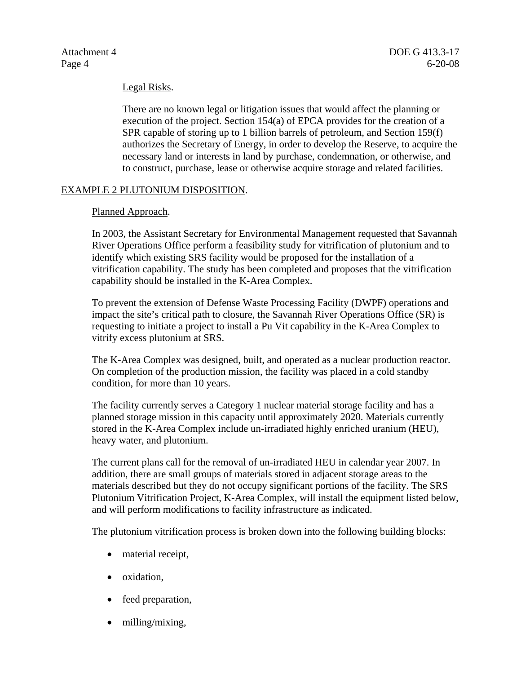#### Legal Risks.

There are no known legal or litigation issues that would affect the planning or execution of the project. Section 154(a) of EPCA provides for the creation of a SPR capable of storing up to 1 billion barrels of petroleum, and Section 159(f) authorizes the Secretary of Energy, in order to develop the Reserve, to acquire the necessary land or interests in land by purchase, condemnation, or otherwise, and to construct, purchase, lease or otherwise acquire storage and related facilities.

## EXAMPLE 2 PLUTONIUM DISPOSITION.

#### Planned Approach.

In 2003, the Assistant Secretary for Environmental Management requested that Savannah River Operations Office perform a feasibility study for vitrification of plutonium and to identify which existing SRS facility would be proposed for the installation of a vitrification capability. The study has been completed and proposes that the vitrification capability should be installed in the K-Area Complex.

To prevent the extension of Defense Waste Processing Facility (DWPF) operations and impact the site's critical path to closure, the Savannah River Operations Office (SR) is requesting to initiate a project to install a Pu Vit capability in the K-Area Complex to vitrify excess plutonium at SRS.

The K-Area Complex was designed, built, and operated as a nuclear production reactor. On completion of the production mission, the facility was placed in a cold standby condition, for more than 10 years.

The facility currently serves a Category 1 nuclear material storage facility and has a planned storage mission in this capacity until approximately 2020. Materials currently stored in the K-Area Complex include un-irradiated highly enriched uranium (HEU), heavy water, and plutonium.

The current plans call for the removal of un-irradiated HEU in calendar year 2007. In addition, there are small groups of materials stored in adjacent storage areas to the materials described but they do not occupy significant portions of the facility. The SRS Plutonium Vitrification Project, K-Area Complex, will install the equipment listed below, and will perform modifications to facility infrastructure as indicated.

The plutonium vitrification process is broken down into the following building blocks:

- material receipt,
- oxidation,
- feed preparation,
- milling/mixing,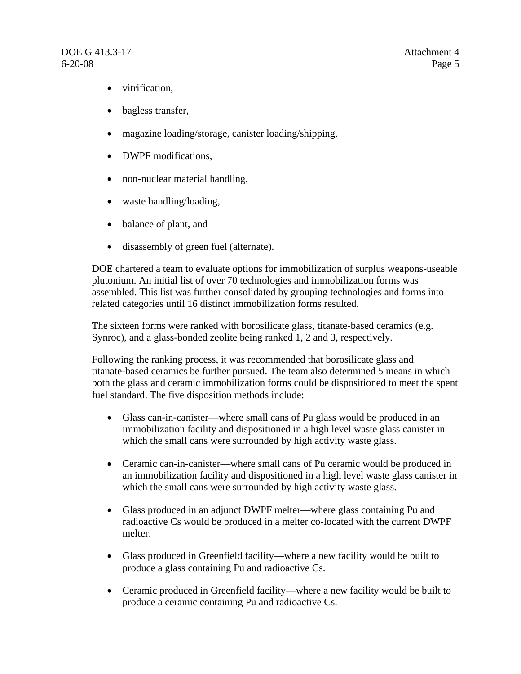- vitrification,
- bagless transfer,
- magazine loading/storage, canister loading/shipping,
- DWPF modifications.
- non-nuclear material handling,
- waste handling/loading,
- balance of plant, and
- disassembly of green fuel (alternate).

DOE chartered a team to evaluate options for immobilization of surplus weapons-useable plutonium. An initial list of over 70 technologies and immobilization forms was assembled. This list was further consolidated by grouping technologies and forms into related categories until 16 distinct immobilization forms resulted.

The sixteen forms were ranked with borosilicate glass, titanate-based ceramics (e.g. Synroc), and a glass-bonded zeolite being ranked 1, 2 and 3, respectively.

Following the ranking process, it was recommended that borosilicate glass and titanate-based ceramics be further pursued. The team also determined 5 means in which both the glass and ceramic immobilization forms could be dispositioned to meet the spent fuel standard. The five disposition methods include:

- Glass can-in-canister—where small cans of Pu glass would be produced in an immobilization facility and dispositioned in a high level waste glass canister in which the small cans were surrounded by high activity waste glass.
- Ceramic can-in-canister—where small cans of Pu ceramic would be produced in an immobilization facility and dispositioned in a high level waste glass canister in which the small cans were surrounded by high activity waste glass.
- Glass produced in an adjunct DWPF melter—where glass containing Pu and radioactive Cs would be produced in a melter co-located with the current DWPF melter.
- Glass produced in Greenfield facility—where a new facility would be built to produce a glass containing Pu and radioactive Cs.
- Ceramic produced in Greenfield facility—where a new facility would be built to produce a ceramic containing Pu and radioactive Cs.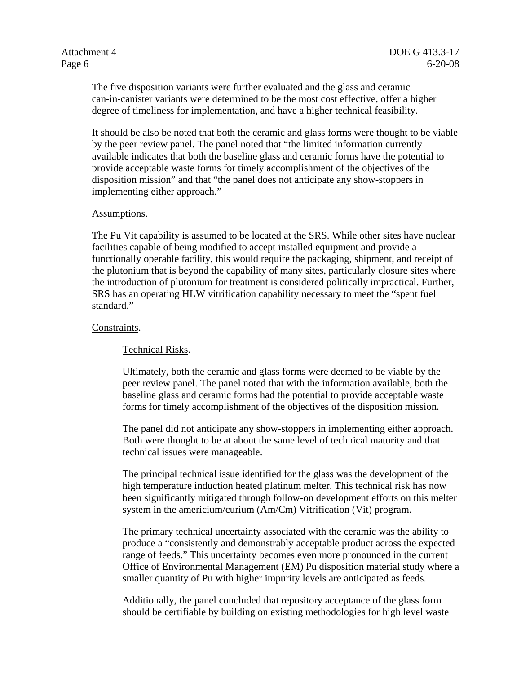The five disposition variants were further evaluated and the glass and ceramic can-in-canister variants were determined to be the most cost effective, offer a higher degree of timeliness for implementation, and have a higher technical feasibility.

It should be also be noted that both the ceramic and glass forms were thought to be viable by the peer review panel. The panel noted that "the limited information currently available indicates that both the baseline glass and ceramic forms have the potential to provide acceptable waste forms for timely accomplishment of the objectives of the disposition mission" and that "the panel does not anticipate any show-stoppers in implementing either approach."

#### Assumptions.

The Pu Vit capability is assumed to be located at the SRS. While other sites have nuclear facilities capable of being modified to accept installed equipment and provide a functionally operable facility, this would require the packaging, shipment, and receipt of the plutonium that is beyond the capability of many sites, particularly closure sites where the introduction of plutonium for treatment is considered politically impractical. Further, SRS has an operating HLW vitrification capability necessary to meet the "spent fuel standard."

#### Constraints.

#### Technical Risks.

Ultimately, both the ceramic and glass forms were deemed to be viable by the peer review panel. The panel noted that with the information available, both the baseline glass and ceramic forms had the potential to provide acceptable waste forms for timely accomplishment of the objectives of the disposition mission.

The panel did not anticipate any show-stoppers in implementing either approach. Both were thought to be at about the same level of technical maturity and that technical issues were manageable.

The principal technical issue identified for the glass was the development of the high temperature induction heated platinum melter. This technical risk has now been significantly mitigated through follow-on development efforts on this melter system in the americium/curium (Am/Cm) Vitrification (Vit) program.

The primary technical uncertainty associated with the ceramic was the ability to produce a "consistently and demonstrably acceptable product across the expected range of feeds." This uncertainty becomes even more pronounced in the current Office of Environmental Management (EM) Pu disposition material study where a smaller quantity of Pu with higher impurity levels are anticipated as feeds.

Additionally, the panel concluded that repository acceptance of the glass form should be certifiable by building on existing methodologies for high level waste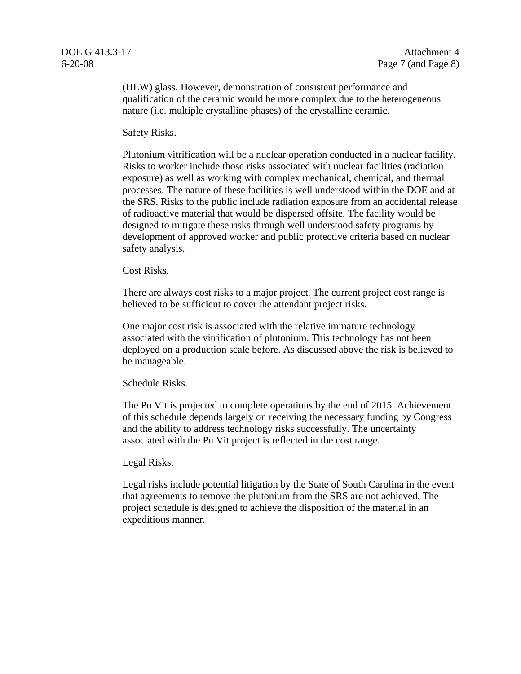(HLW) glass. However, demonstration of consistent performance and qualification of the ceramic would be more complex due to the heterogeneous nature (i.e. multiple crystalline phases) of the crystalline ceramic.

#### Safety Risks.

Plutonium vitrification will be a nuclear operation conducted in a nuclear facility. Risks to worker include those risks associated with nuclear facilities (radiation exposure) as well as working with complex mechanical, chemical, and thermal processes. The nature of these facilities is well understood within the DOE and at the SRS. Risks to the public include radiation exposure from an accidental release of radioactive material that would be dispersed offsite. The facility would be designed to mitigate these risks through well understood safety programs by development of approved worker and public protective criteria based on nuclear safety analysis.

#### Cost Risks.

There are always cost risks to a major project. The current project cost range is believed to be sufficient to cover the attendant project risks.

One major cost risk is associated with the relative immature technology associated with the vitrification of plutonium. This technology has not been deployed on a production scale before. As discussed above the risk is believed to be manageable.

#### Schedule Risks.

The Pu Vit is projected to complete operations by the end of 2015. Achievement of this schedule depends largely on receiving the necessary funding by Congress and the ability to address technology risks successfully. The uncertainty associated with the Pu Vit project is reflected in the cost range.

#### Legal Risks.

Legal risks include potential litigation by the State of South Carolina in the event that agreements to remove the plutonium from the SRS are not achieved. The project schedule is designed to achieve the disposition of the material in an expeditious manner.